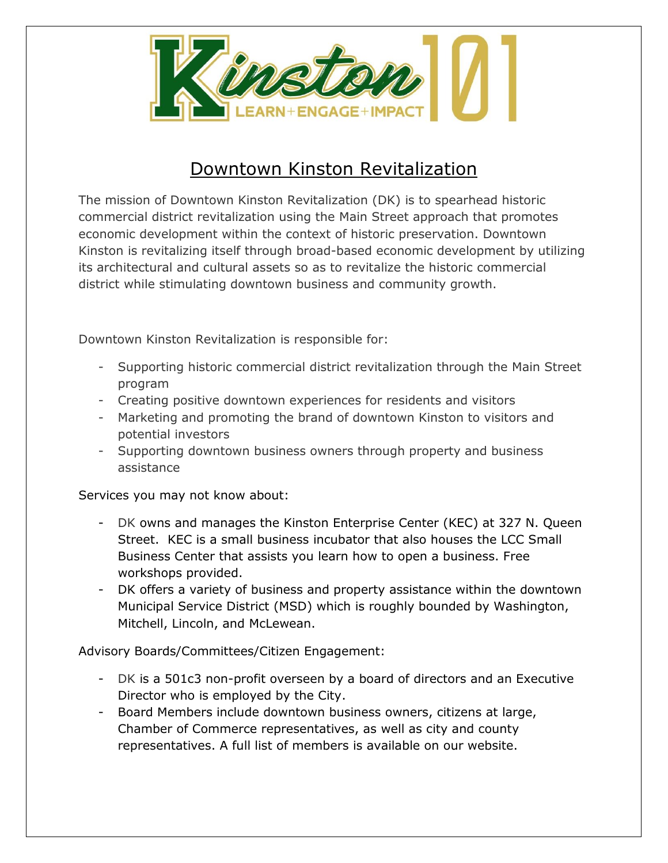

## Downtown Kinston Revitalization

The mission of Downtown Kinston Revitalization (DK) is to spearhead historic commercial district revitalization using the Main Street approach that promotes economic development within the context of historic preservation. Downtown Kinston is revitalizing itself through broad-based economic development by utilizing its architectural and cultural assets so as to revitalize the historic commercial district while stimulating downtown business and community growth.

Downtown Kinston Revitalization is responsible for:

- Supporting historic commercial district revitalization through the Main Street program
- Creating positive downtown experiences for residents and visitors
- Marketing and promoting the brand of downtown Kinston to visitors and potential investors
- Supporting downtown business owners through property and business assistance

Services you may not know about:

- DK owns and manages the Kinston Enterprise Center (KEC) at 327 N. Queen Street. KEC is a small business incubator that also houses the LCC Small Business Center that assists you learn how to open a business. Free workshops provided.
- DK offers a variety of business and property assistance within the downtown Municipal Service District (MSD) which is roughly bounded by Washington, Mitchell, Lincoln, and McLewean.

Advisory Boards/Committees/Citizen Engagement:

- DK is a 501c3 non-profit overseen by a board of directors and an Executive Director who is employed by the City.
- Board Members include downtown business owners, citizens at large, Chamber of Commerce representatives, as well as city and county representatives. A full list of members is available on our website.